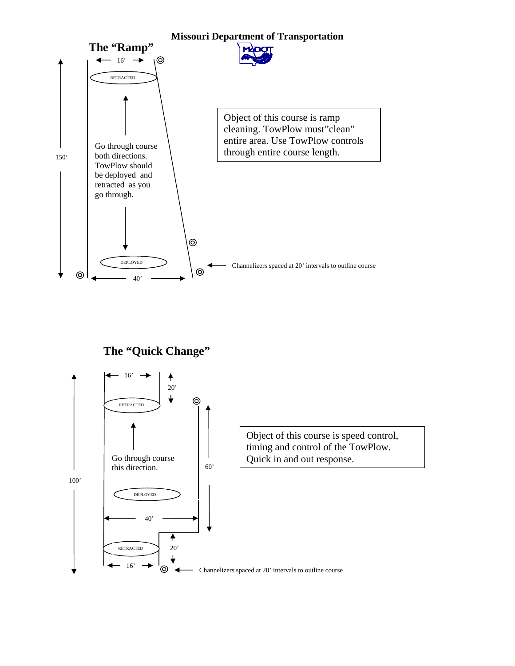

**The "Quick Change"** 

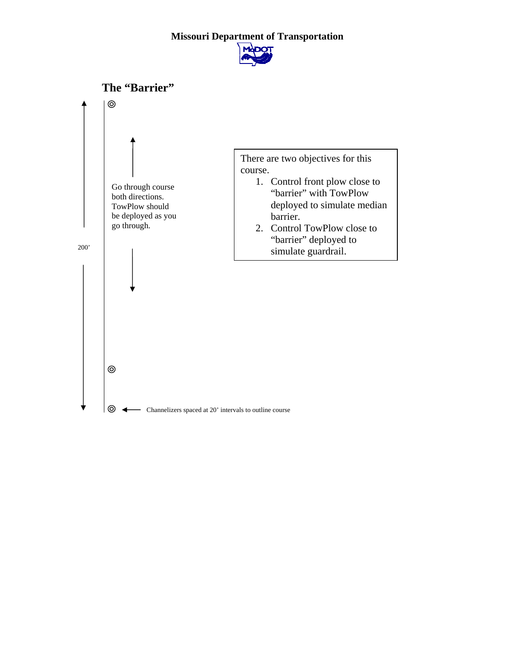## **Missouri Department of Transportation**



![](_page_1_Figure_2.jpeg)